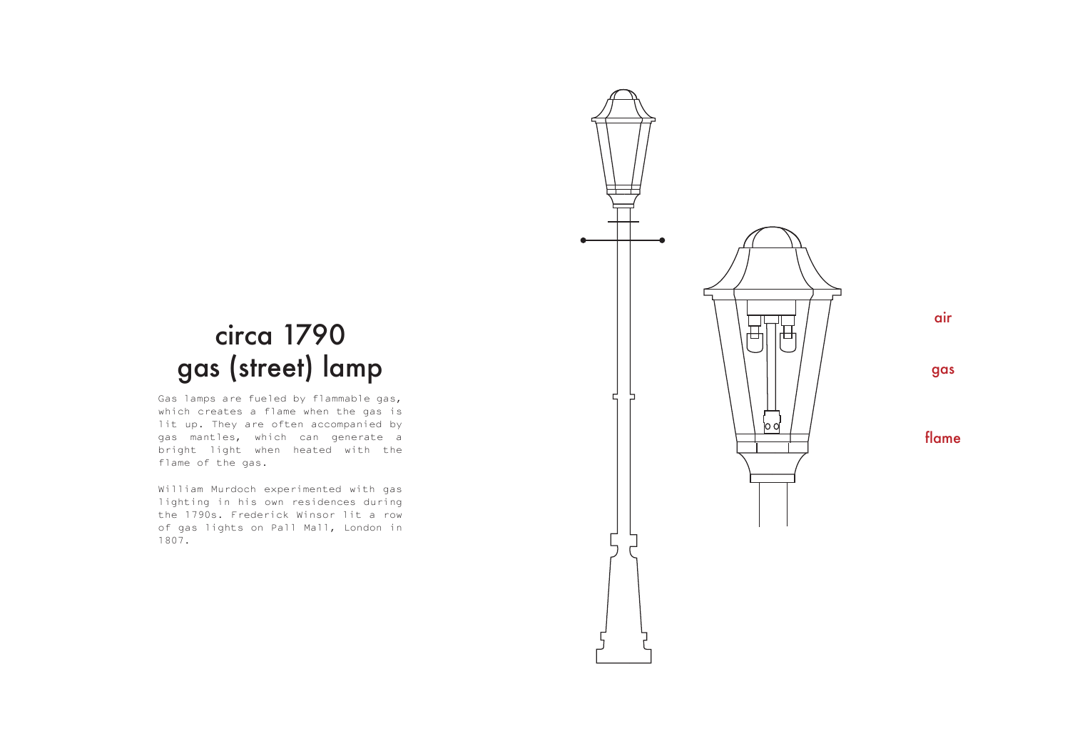

# circa 1790 gas (street) lamp

Gas lamps are fueled by flammable gas, which creates a flame when the gas is lit up. They are often accompanied by gas mantles, which can generate a bright light when heated with the flame of the gas.

William Murdoch experimented with gas lighting in his own residences during the 1790s. Frederick Winsor lit a row of gas lights on Pall Mall, London in 1807.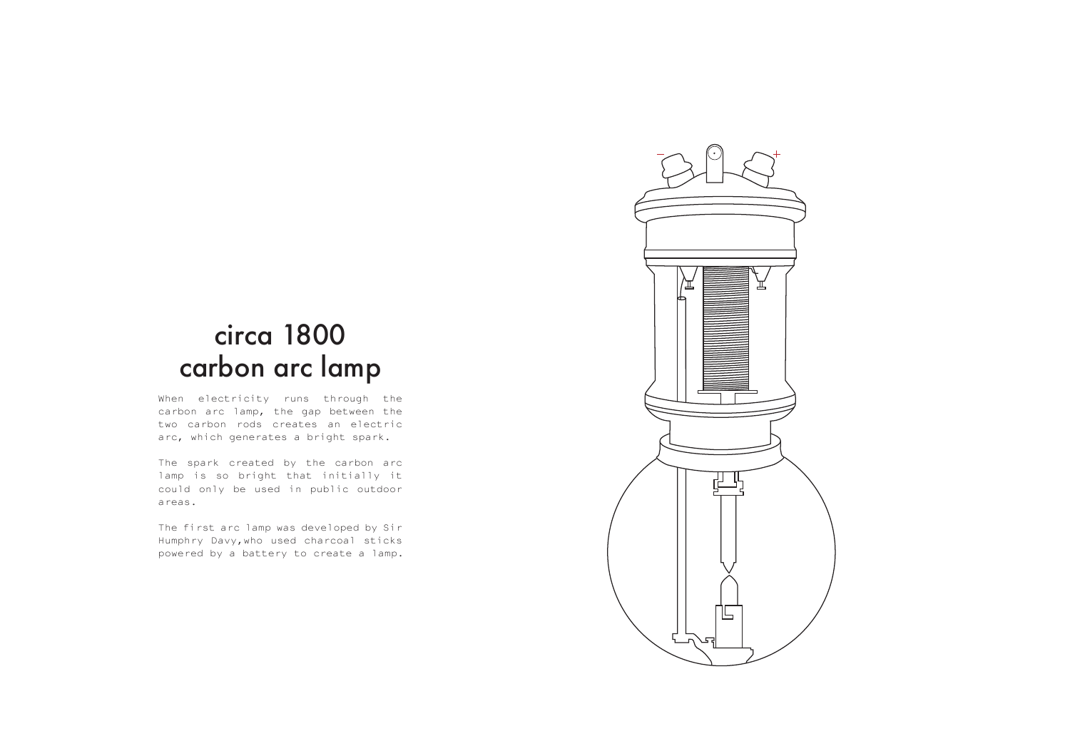#### circa 1800 carbon arc lamp

When electricity runs through the carbon arc lamp, the gap between the two carbon rods creates an electric arc, which generates a bright spark.

The spark created by the carbon arc lamp is so bright that initially it could only be used in public outdoor areas.

The first arc lamp was developed by Sir Humphry Davy,who used charcoal sticks powered by a battery to create a lamp.

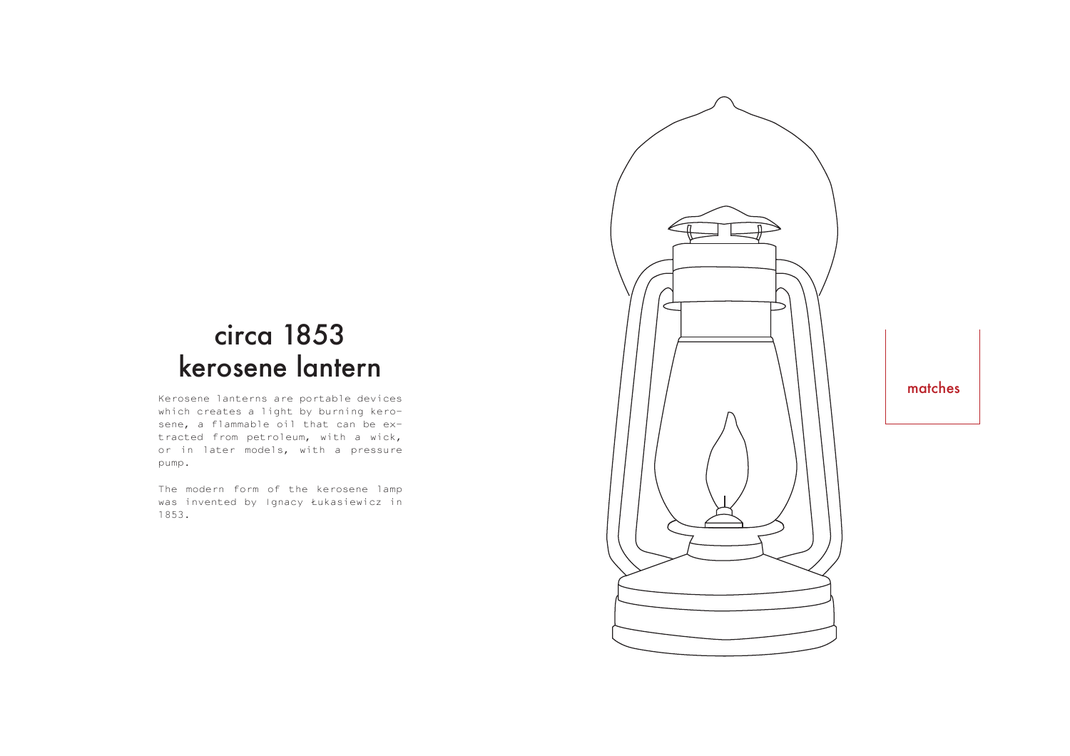## circa 1853 kerosene lantern

Kerosene lanterns are portable devices which creates a light by burning kerosene, a flammable oil that can be extracted from petroleum, with a wick, or in later models, with a pressure pump.

The modern form of the kerosene lamp was invented by Ignacy Łukasiewicz in 1853.



matches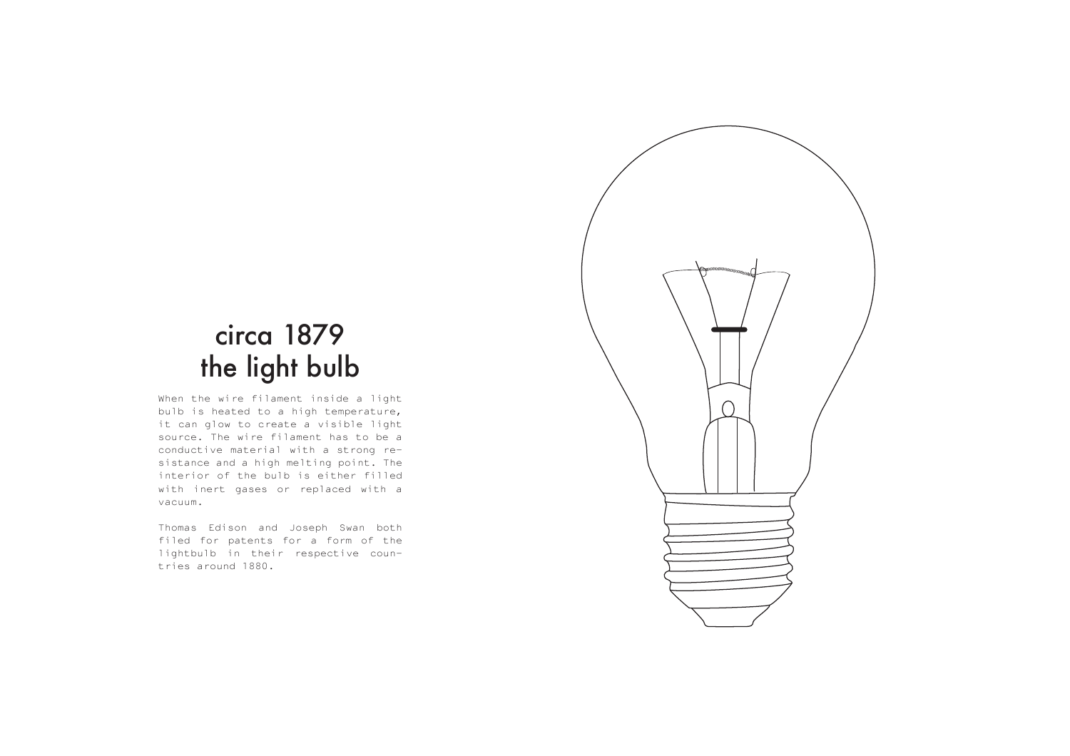# circa 1879 the light bulb

When the wire filament inside a light bulb is heated to a high temperature, it can glow to create a visible light source. The wire filament has to be a conductive material with a strong resistance and a high melting point. The interior of the bulb is either filled with inert gases or replaced with a vacuum.

Thomas Edison and Joseph Swan both filed for patents for a form of the lightbulb in their respective countries around 1880.

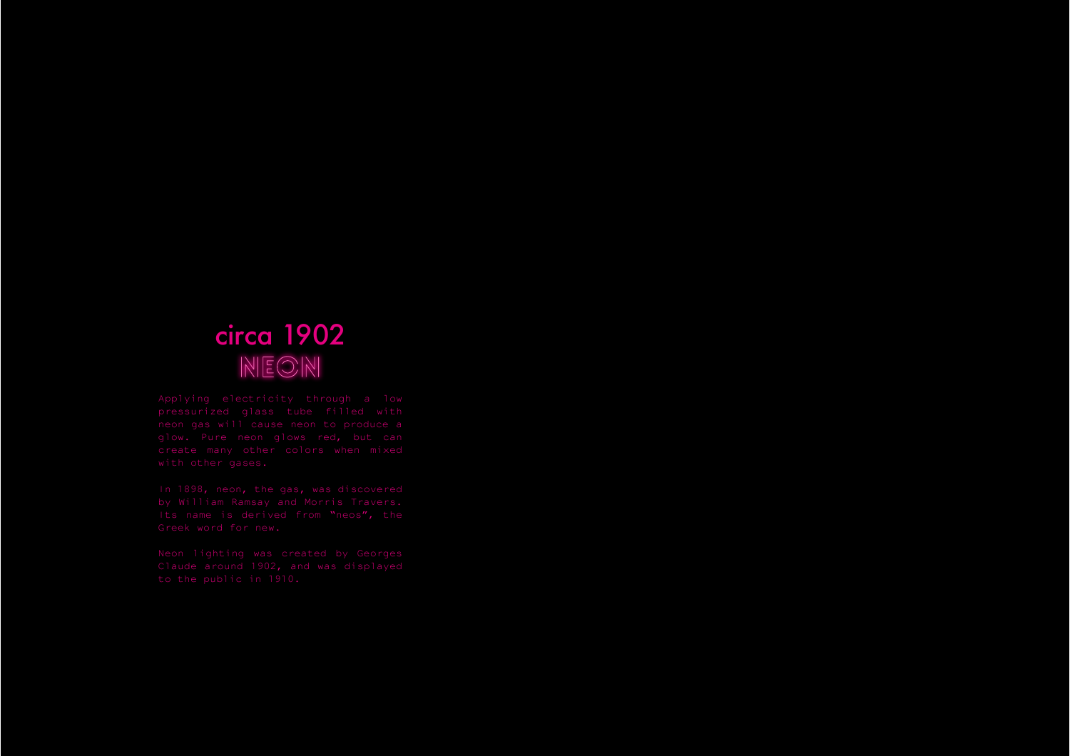#### circa 1902  $NECON$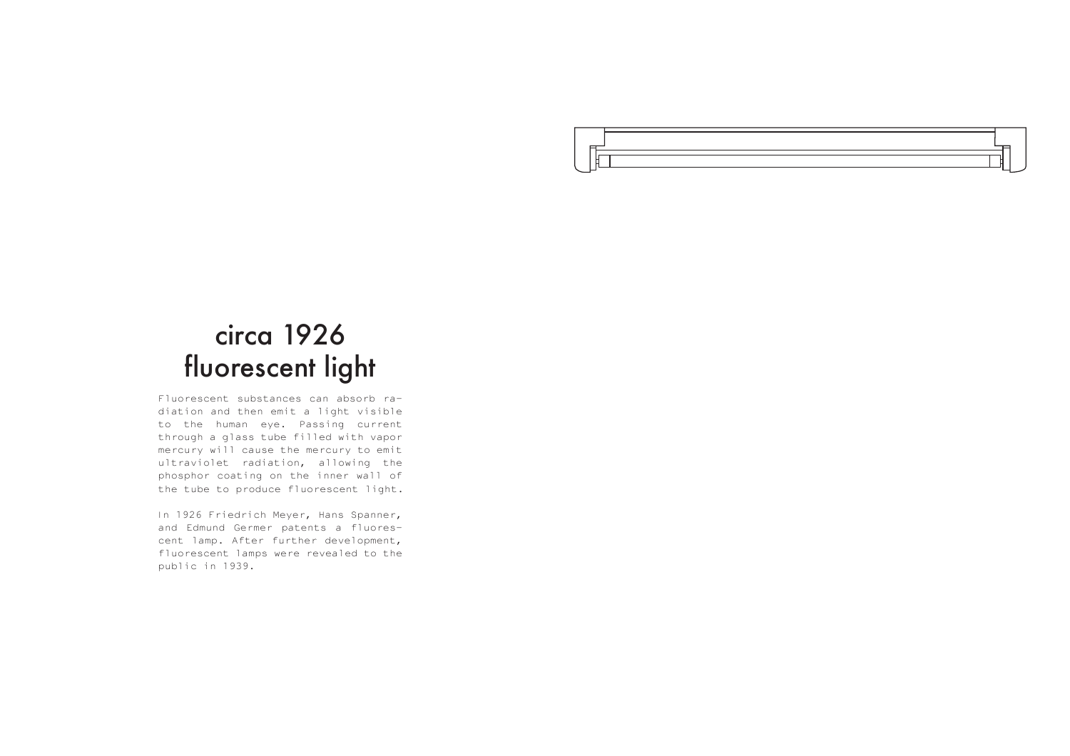

#### circa 1926 fluorescent light

Fluorescent substances can absorb radiation and then emit a light visible to the human eye. Passing current through a glass tube filled with vapor mercury will cause the mercury to emit ultraviolet radiation, allowing the phosphor coating on the inner wall of the tube to produce fluorescent light.

In 1926 Friedrich Meyer, Hans Spanner, and Edmund Germer patents a fluorescent lamp. After further development, fluorescent lamps were revealed to the public in 1939.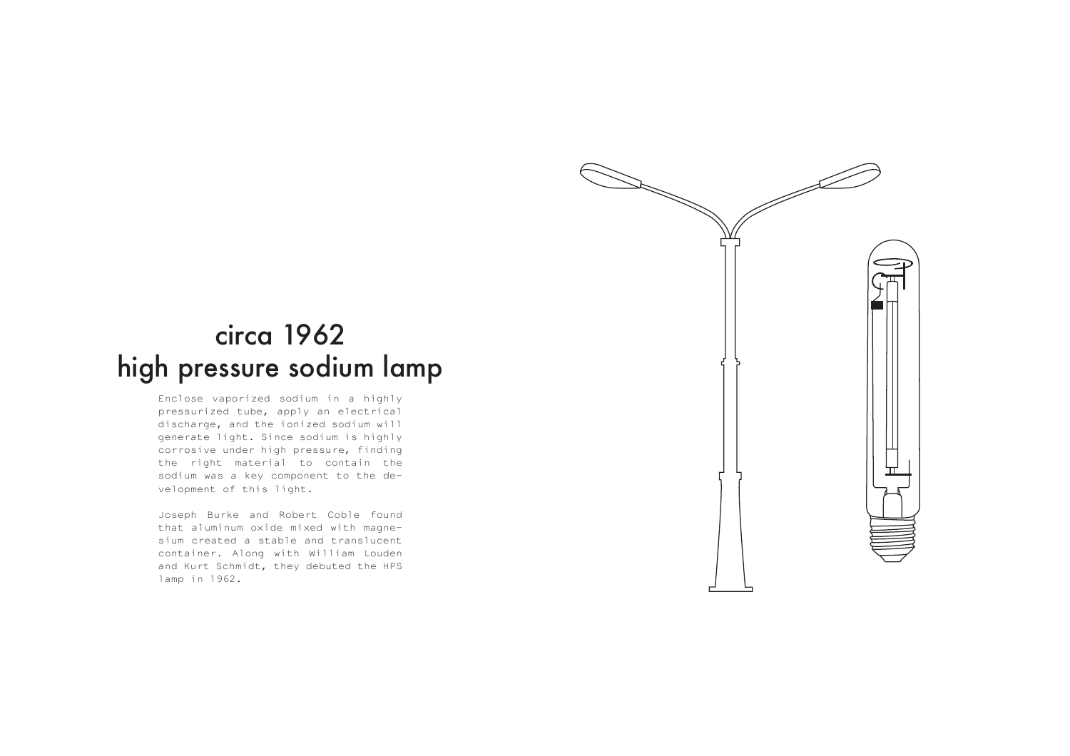

Enclose vaporized sodium in a highly pressurized tube, apply an electrical discharge, and the ionized sodium will generate light. Since sodium is highly corrosive under high pressure, finding the right material to contain the sodium was a key component to the development of this light.

Joseph Burke and Robert Coble found that aluminum oxide mixed with magnesium created a stable and translucent container. Along with William Louden and Kurt Schmidt, they debuted the HPS lamp in 1962.